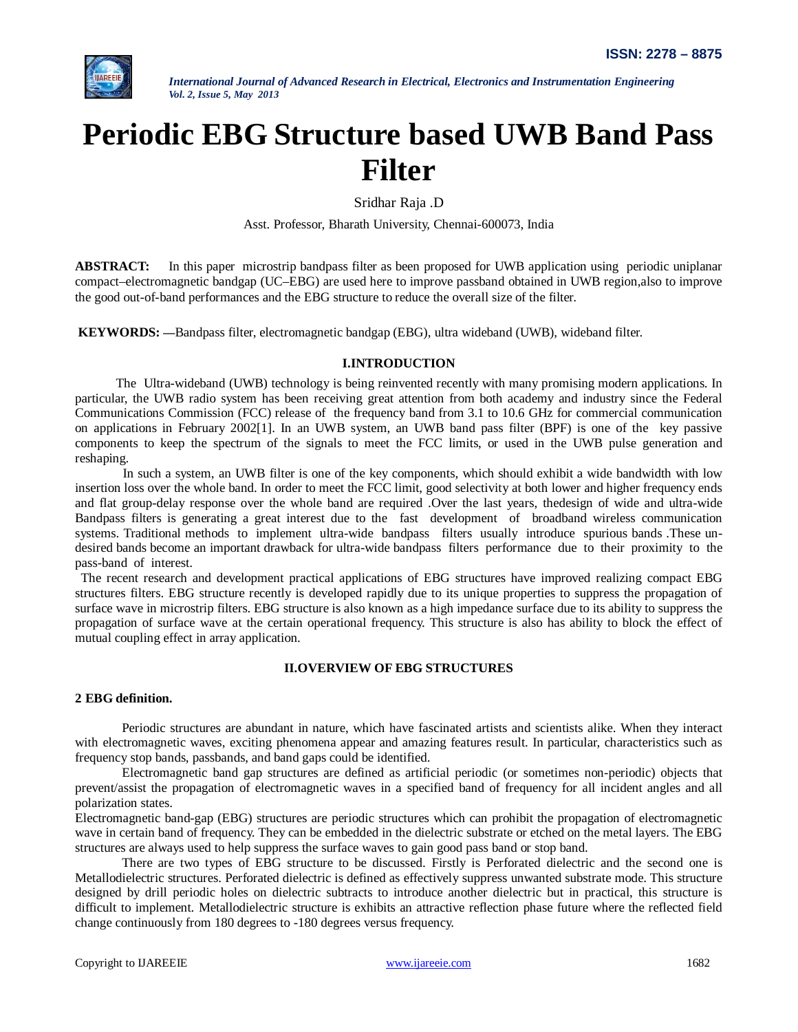

# **Periodic EBG Structure based UWB Band Pass Filter**

Sridhar Raja .D

Asst. Professor, Bharath University, Chennai-600073, India

**ABSTRACT:** In this paper microstrip bandpass filter as been proposed for UWB application using periodic uniplanar compact–electromagnetic bandgap (UC–EBG) are used here to improve passband obtained in UWB region,also to improve the good out-of-band performances and the EBG structure to reduce the overall size of the filter.

**KEYWORDS:** *—*Bandpass filter, electromagnetic bandgap (EBG), ultra wideband (UWB), wideband filter.

## **I.INTRODUCTION**

The Ultra-wideband (UWB) technology is being reinvented recently with many promising modern applications. In particular, the UWB radio system has been receiving great attention from both academy and industry since the Federal Communications Commission (FCC) release of the frequency band from 3.1 to 10.6 GHz for commercial communication on applications in February 2002[1]. In an UWB system, an UWB band pass filter (BPF) is one of the key passive components to keep the spectrum of the signals to meet the FCC limits, or used in the UWB pulse generation and reshaping.

 In such a system, an UWB filter is one of the key components, which should exhibit a wide bandwidth with low insertion loss over the whole band. In order to meet the FCC limit, good selectivity at both lower and higher frequency ends and flat group-delay response over the whole band are required .Over the last years, thedesign of wide and ultra-wide Bandpass filters is generating a great interest due to the fast development of broadband wireless communication systems. Traditional methods to implement ultra-wide bandpass filters usually introduce spurious bands .These undesired bands become an important drawback for ultra-wide bandpass filters performance due to their proximity to the pass-band of interest.

The recent research and development practical applications of EBG structures have improved realizing compact EBG structures filters. EBG structure recently is developed rapidly due to its unique properties to suppress the propagation of surface wave in microstrip filters. EBG structure is also known as a high impedance surface due to its ability to suppress the propagation of surface wave at the certain operational frequency. This structure is also has ability to block the effect of mutual coupling effect in array application.

## **II.OVERVIEW OF EBG STRUCTURES**

#### **2 EBG definition.**

Periodic structures are abundant in nature, which have fascinated artists and scientists alike. When they interact with electromagnetic waves, exciting phenomena appear and amazing features result. In particular, characteristics such as frequency stop bands, passbands, and band gaps could be identified.

Electromagnetic band gap structures are defined as artificial periodic (or sometimes non-periodic) objects that prevent/assist the propagation of electromagnetic waves in a specified band of frequency for all incident angles and all polarization states.

Electromagnetic band-gap (EBG) structures are periodic structures which can prohibit the propagation of electromagnetic wave in certain band of frequency. They can be embedded in the dielectric substrate or etched on the metal layers. The EBG structures are always used to help suppress the surface waves to gain good pass band or stop band.

There are two types of EBG structure to be discussed. Firstly is Perforated dielectric and the second one is Metallodielectric structures. Perforated dielectric is defined as effectively suppress unwanted substrate mode. This structure designed by drill periodic holes on dielectric subtracts to introduce another dielectric but in practical, this structure is difficult to implement. Metallodielectric structure is exhibits an attractive reflection phase future where the reflected field change continuously from 180 degrees to -180 degrees versus frequency.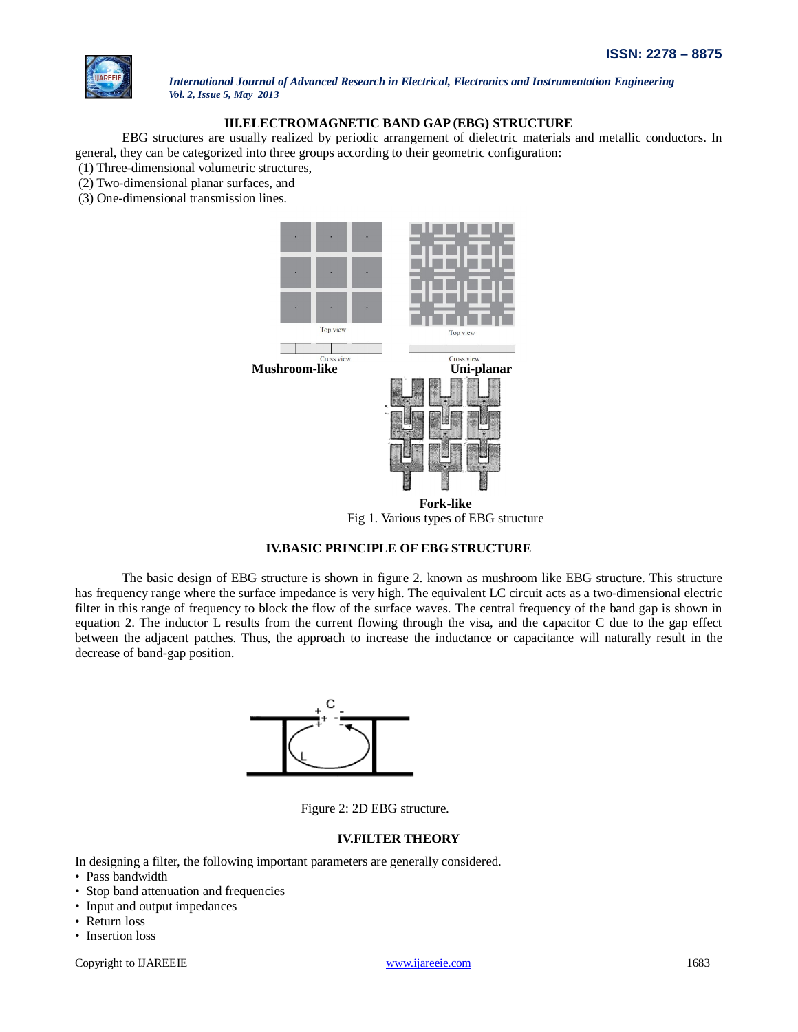

# **III.ELECTROMAGNETIC BAND GAP (EBG) STRUCTURE**

EBG structures are usually realized by periodic arrangement of dielectric materials and metallic conductors. In general, they can be categorized into three groups according to their geometric configuration:

(1) Three-dimensional volumetric structures,

- (2) Two-dimensional planar surfaces, and
- (3) One-dimensional transmission lines.



Fig 1. Various types of EBG structure

# **IV.BASIC PRINCIPLE OF EBG STRUCTURE**

The basic design of EBG structure is shown in figure 2. known as mushroom like EBG structure. This structure has frequency range where the surface impedance is very high. The equivalent LC circuit acts as a two-dimensional electric filter in this range of frequency to block the flow of the surface waves. The central frequency of the band gap is shown in equation 2. The inductor L results from the current flowing through the visa, and the capacitor C due to the gap effect between the adjacent patches. Thus, the approach to increase the inductance or capacitance will naturally result in the decrease of band-gap position.



Figure 2: 2D EBG structure.

#### **IV.FILTER THEORY**

- In designing a filter, the following important parameters are generally considered.
- Pass bandwidth
- Stop band attenuation and frequencies
- Input and output impedances
- Return loss
- Insertion loss

Copyright to IJAREEIE www.ijareeie.com 1683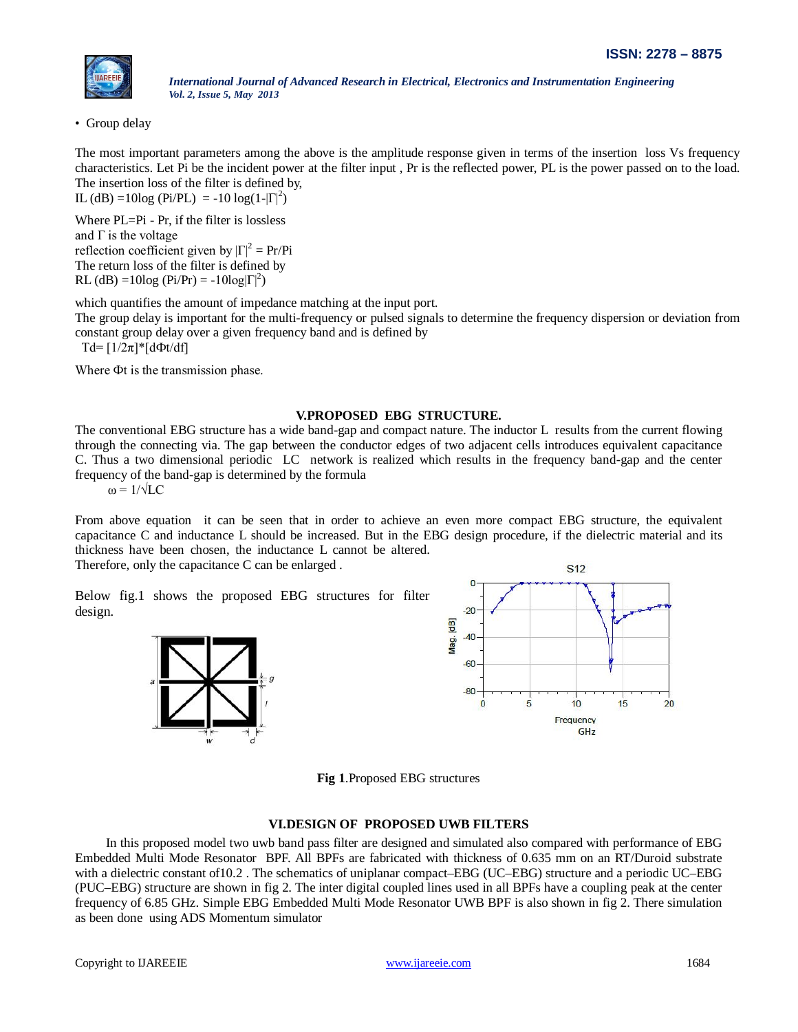

• Group delay

The most important parameters among the above is the amplitude response given in terms of the insertion loss Vs frequency characteristics. Let Pi be the incident power at the filter input , Pr is the reflected power, PL is the power passed on to the load. The insertion loss of the filter is defined by,

IL (dB) =10log (Pi/PL) = -10 log(1- $|\Gamma|^2$ )

Where PL=Pi - Pr, if the filter is lossless and  $\Gamma$  is the voltage reflection coefficient given by  $|\Gamma|^2 = Pr/Pi$ The return loss of the filter is defined by RL (dB) =10log (Pi/Pr) = -10log $|\Gamma|^2$ )

which quantifies the amount of impedance matching at the input port.

The group delay is important for the multi-frequency or pulsed signals to determine the frequency dispersion or deviation from constant group delay over a given frequency band and is defined by

Td= [1/2π]\*[dФt/df]

Where Фt is the transmission phase.

#### **V.PROPOSED EBG STRUCTURE.**

The conventional EBG structure has a wide band-gap and compact nature. The inductor L results from the current flowing through the connecting via. The gap between the conductor edges of two adjacent cells introduces equivalent capacitance C. Thus a two dimensional periodic LC network is realized which results in the frequency band-gap and the center frequency of the band-gap is determined by the formula

 $\omega = 1/\sqrt{LC}$ 

From above equation it can be seen that in order to achieve an even more compact EBG structure, the equivalent capacitance C and inductance L should be increased. But in the EBG design procedure, if the dielectric material and its thickness have been chosen, the inductance L cannot be altered.

Therefore, only the capacitance C can be enlarged .

Below fig.1 shows the proposed EBG structures for filter design.





**Fig 1**.Proposed EBG structures

#### **VI.DESIGN OF PROPOSED UWB FILTERS**

 In this proposed model two uwb band pass filter are designed and simulated also compared with performance of EBG Embedded Multi Mode Resonator BPF. All BPFs are fabricated with thickness of 0.635 mm on an RT/Duroid substrate with a dielectric constant of 10.2. The schematics of uniplanar compact–EBG (UC–EBG) structure and a periodic UC–EBG (PUC–EBG) structure are shown in fig 2. The inter digital coupled lines used in all BPFs have a coupling peak at the center frequency of 6.85 GHz. Simple EBG Embedded Multi Mode Resonator UWB BPF is also shown in fig 2. There simulation as been done using ADS Momentum simulator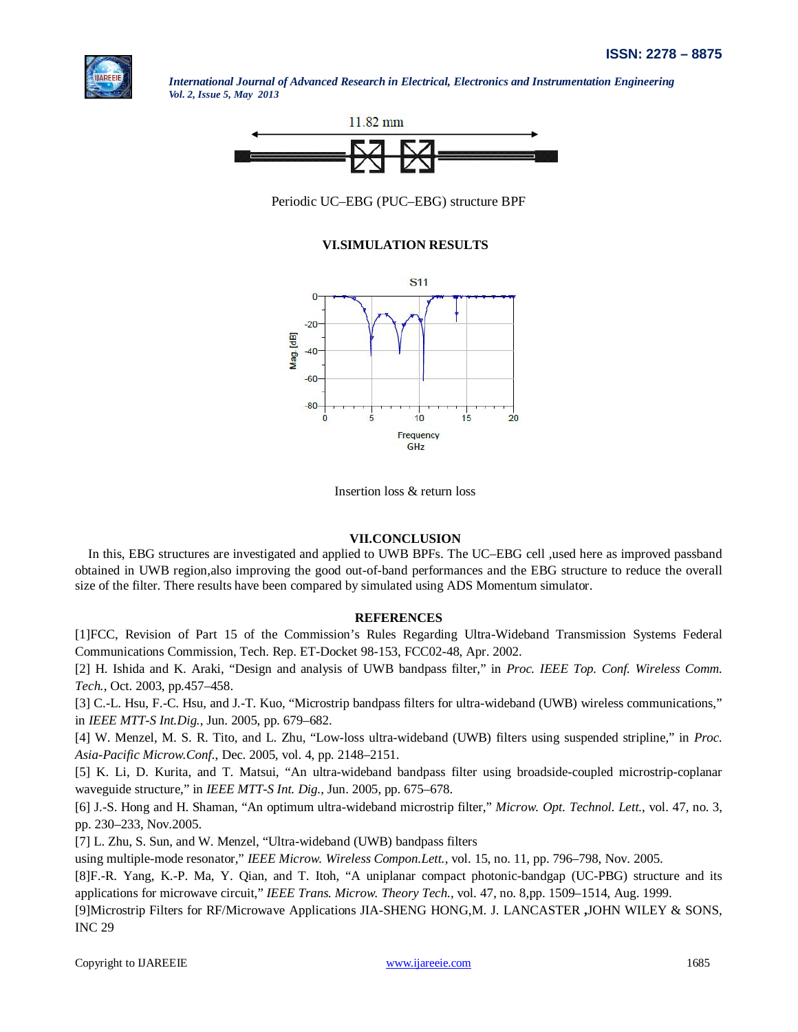



Periodic UC–EBG (PUC–EBG) structure BPF

# **VI.SIMULATION RESULTS**



Insertion loss & return loss

# **VII.CONCLUSION**

In this, EBG structures are investigated and applied to UWB BPFs. The UC–EBG cell ,used here as improved passband obtained in UWB region,also improving the good out-of-band performances and the EBG structure to reduce the overall size of the filter. There results have been compared by simulated using ADS Momentum simulator.

#### **REFERENCES**

[1]FCC, Revision of Part 15 of the Commission's Rules Regarding Ultra-Wideband Transmission Systems Federal Communications Commission, Tech. Rep. ET-Docket 98-153, FCC02-48, Apr. 2002.

[2] H. Ishida and K. Araki, "Design and analysis of UWB bandpass filter," in *Proc. IEEE Top. Conf. Wireless Comm. Tech.*, Oct. 2003, pp.457–458.

[3] C.-L. Hsu, F.-C. Hsu, and J.-T. Kuo, "Microstrip bandpass filters for ultra-wideband (UWB) wireless communications," in *IEEE MTT-S Int.Dig.*, Jun. 2005, pp. 679–682.

[4] W. Menzel, M. S. R. Tito, and L. Zhu, "Low-loss ultra-wideband (UWB) filters using suspended stripline," in *Proc. Asia-Pacific Microw.Conf.*, Dec. 2005, vol. 4, pp. 2148–2151.

[5] K. Li, D. Kurita, and T. Matsui, "An ultra-wideband bandpass filter using broadside-coupled microstrip-coplanar waveguide structure," in *IEEE MTT-S Int. Dig.*, Jun. 2005, pp. 675–678.

[6] J.-S. Hong and H. Shaman, "An optimum ultra-wideband microstrip filter," *Microw. Opt. Technol. Lett.*, vol. 47, no. 3, pp. 230–233, Nov.2005.

[7] L. Zhu, S. Sun, and W. Menzel, "Ultra-wideband (UWB) bandpass filters

using multiple-mode resonator," *IEEE Microw. Wireless Compon.Lett.*, vol. 15, no. 11, pp. 796–798, Nov. 2005.

[8]F.-R. Yang, K.-P. Ma, Y. Qian, and T. Itoh, "A uniplanar compact photonic-bandgap (UC-PBG) structure and its applications for microwave circuit," *IEEE Trans. Microw. Theory Tech.*, vol. 47, no. 8,pp. 1509–1514, Aug. 1999.

[9]Microstrip Filters for RF/Microwave Applications JIA-SHENG HONG,M. J. LANCASTER **,**JOHN WILEY & SONS, INC 29